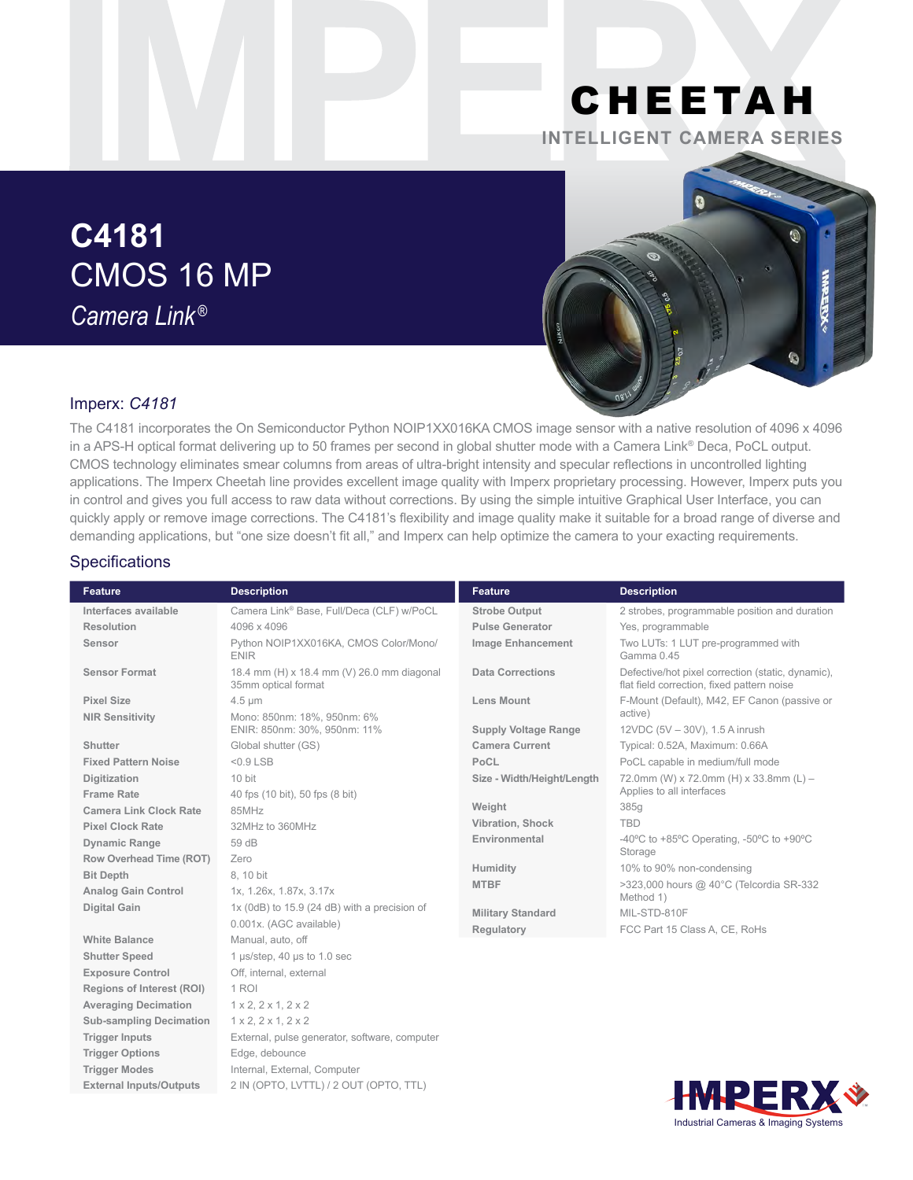## CHEETAH **INTELLIGENT CAMERA SERIES**

# **C4181** CMOS 16 MP *Camera Link ®*



## Imperx: *C4181*

The C4181 incorporates the On Semiconductor Python NOIP1XX016KA CMOS image sensor with a native resolution of 4096 x 4096 in a APS-H optical format delivering up to 50 frames per second in global shutter mode with a Camera Link® Deca, PoCL output. CMOS technology eliminates smear columns from areas of ultra-bright intensity and specular reflections in uncontrolled lighting applications. The Imperx Cheetah line provides excellent image quality with Imperx proprietary processing. However, Imperx puts you in control and gives you full access to raw data without corrections. By using the simple intuitive Graphical User Interface, you can quickly apply or remove image corrections. The C4181's flexibility and image quality make it suitable for a broad range of diverse and demanding applications, but "one size doesn't fit all," and Imperx can help optimize the camera to your exacting requirements.

#### **Specifications**

| <b>Feature</b>                 | <b>Description</b>                                                | <b>Feature</b>              | <b>Description</b>                                                                              |
|--------------------------------|-------------------------------------------------------------------|-----------------------------|-------------------------------------------------------------------------------------------------|
| Interfaces available           | Camera Link® Base, Full/Deca (CLF) w/PoCL                         | <b>Strobe Output</b>        | 2 strobes, programmable position and duration                                                   |
| Resolution                     | 4096 x 4096                                                       | <b>Pulse Generator</b>      | Yes, programmable                                                                               |
| Sensor                         | Python NOIP1XX016KA, CMOS Color/Mono/<br><b>ENIR</b>              | <b>Image Enhancement</b>    | Two LUTs: 1 LUT pre-programmed with<br>Gamma 0.45                                               |
| <b>Sensor Format</b>           | 18.4 mm (H) x 18.4 mm (V) 26.0 mm diagonal<br>35mm optical format | <b>Data Corrections</b>     | Defective/hot pixel correction (static, dynamic),<br>flat field correction, fixed pattern noise |
| <b>Pixel Size</b>              | $4.5 \mu m$                                                       | <b>Lens Mount</b>           | F-Mount (Default), M42, EF Canon (passive or                                                    |
| <b>NIR Sensitivity</b>         | Mono: 850nm: 18%, 950nm: 6%                                       |                             | active)                                                                                         |
|                                | ENIR: 850nm: 30%, 950nm: 11%                                      | <b>Supply Voltage Range</b> | 12VDC (5V - 30V), 1.5 A inrush                                                                  |
| <b>Shutter</b>                 | Global shutter (GS)                                               | <b>Camera Current</b>       | Typical: 0.52A, Maximum: 0.66A                                                                  |
| <b>Fixed Pattern Noise</b>     | $< 0.9$ LSB                                                       | PoCL                        | PoCL capable in medium/full mode                                                                |
| <b>Digitization</b>            | 10 bit                                                            | Size - Width/Height/Length  | 72.0mm (W) x 72.0mm (H) x 33.8mm (L) -                                                          |
| <b>Frame Rate</b>              | 40 fps (10 bit), 50 fps (8 bit)                                   |                             | Applies to all interfaces                                                                       |
| <b>Camera Link Clock Rate</b>  | 85MHz                                                             | Weight                      | 385g                                                                                            |
| <b>Pixel Clock Rate</b>        | 32MHz to 360MHz                                                   | Vibration, Shock            | <b>TBD</b>                                                                                      |
| <b>Dynamic Range</b>           | 59 dB                                                             | Environmental               | -40 $^{\circ}$ C to +85 $^{\circ}$ C Operating, -50 $^{\circ}$ C to +90 $^{\circ}$ C            |
| Row Overhead Time (ROT)        | Zero                                                              |                             | Storage                                                                                         |
| <b>Bit Depth</b>               | 8.10 bit                                                          | Humidity                    | 10% to 90% non-condensing                                                                       |
| <b>Analog Gain Control</b>     | 1x, 1.26x, 1.87x, 3.17x                                           | <b>MTBF</b>                 | >323,000 hours @ 40°C (Telcordia SR-332<br>Method 1)                                            |
| <b>Digital Gain</b>            | 1x (0dB) to 15.9 (24 dB) with a precision of                      | <b>Military Standard</b>    | MIL-STD-810F                                                                                    |
|                                | 0.001x. (AGC available)                                           | Regulatory                  | FCC Part 15 Class A, CE, RoHs                                                                   |
| <b>White Balance</b>           | Manual, auto, off                                                 |                             |                                                                                                 |
| <b>Shutter Speed</b>           | 1 µs/step, 40 µs to 1.0 sec                                       |                             |                                                                                                 |
| <b>Exposure Control</b>        | Off, internal, external                                           |                             |                                                                                                 |
| Regions of Interest (ROI)      | 1 ROI                                                             |                             |                                                                                                 |
| <b>Averaging Decimation</b>    | $1 \times 2$ , $2 \times 1$ , $2 \times 2$                        |                             |                                                                                                 |
| <b>Sub-sampling Decimation</b> | 1 x 2, 2 x 1, 2 x 2                                               |                             |                                                                                                 |
| <b>Trigger Inputs</b>          | External, pulse generator, software, computer                     |                             |                                                                                                 |
| <b>Trigger Options</b>         | Edge, debounce                                                    |                             |                                                                                                 |
| <b>Trigger Modes</b>           | Internal, External, Computer                                      |                             |                                                                                                 |
| <b>External Inputs/Outputs</b> | 2 IN (OPTO, LVTTL) / 2 OUT (OPTO, TTL)                            |                             | ы<br>$\blacksquare$                                                                             |